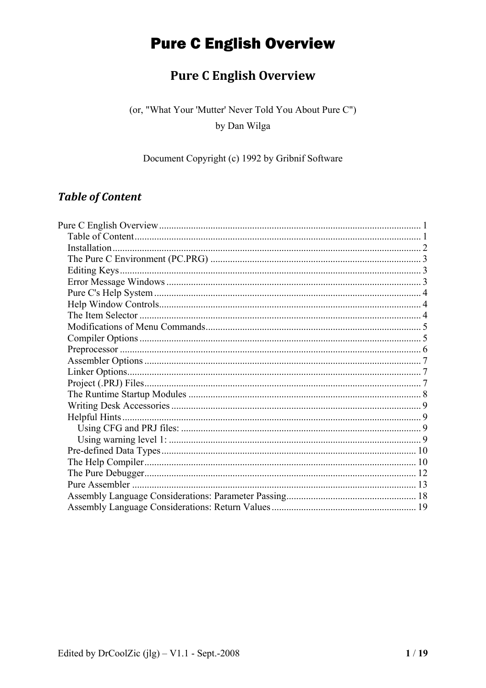### **Pure C English Overview**

<span id="page-0-0"></span>(or, "What Your 'Mutter' Never Told You About Pure C") by Dan Wilga

#### Document Copyright (c) 1992 by Gribnif Software

### **Table of Content**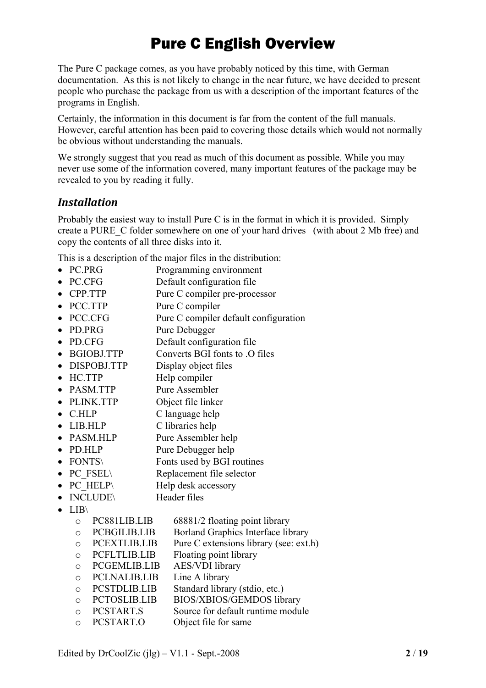<span id="page-1-0"></span>The Pure C package comes, as you have probably noticed by this time, with German documentation. As this is not likely to change in the near future, we have decided to present people who purchase the package from us with a description of the important features of the programs in English.

Certainly, the information in this document is far from the content of the full manuals. However, careful attention has been paid to covering those details which would not normally be obvious without understanding the manuals.

We strongly suggest that you read as much of this document as possible. While you may never use some of the information covered, many important features of the package may be revealed to you by reading it fully.

### *Installation*

Probably the easiest way to install Pure C is in the format in which it is provided. Simply create a PURE\_C folder somewhere on one of your hard drives (with about 2 Mb free) and copy the contents of all three disks into it.

This is a description of the major files in the distribution:

- PC.PRG Programming environment
- PC.CFG Default configuration file
- CPP.TTP Pure C compiler pre-processor
- PCC.TTP Pure C compiler
- PCC.CFG Pure C compiler default configuration
- PD.PRG Pure Debugger
- PD.CFG Default configuration file
- BGIOBJ.TTP Converts BGI fonts to .O files
- DISPOBJ.TTP Display object files
- HC.TTP Help compiler
- PASM TTP Pure Assembler
- PLINK.TTP Object file linker
- C.HLP C language help
- LIB.HLP C libraries help
- PASM.HLP Pure Assembler help
- PD.HLP Pure Debugger help
- FONTS Fonts used by BGI routines
- PC\_FSEL\ Replacement file selector
- PC HELP\ Help desk accessory
- INCLUDE\
Header files
- 
- LIB\
	- o PC881LIB.LIB 68881/2 floating point library
	- o PCBGILIB.LIB Borland Graphics Interface library
	- o PCEXTLIB.LIB Pure C extensions library (see: ext.h)
	- o PCFLTLIB.LIB Floating point library
	- o PCGEMLIB.LIB AES/VDI library
	- o PCLNALIB.LIB
	- o PCSTDLIB.LIB Standard library (stdio, etc.)
	- o PCTOSLIB.LIB BIOS/XBIOS/GEMDOS library
	- o PCSTART.S Source for default runtime module
	- o PCSTART.O Object file for same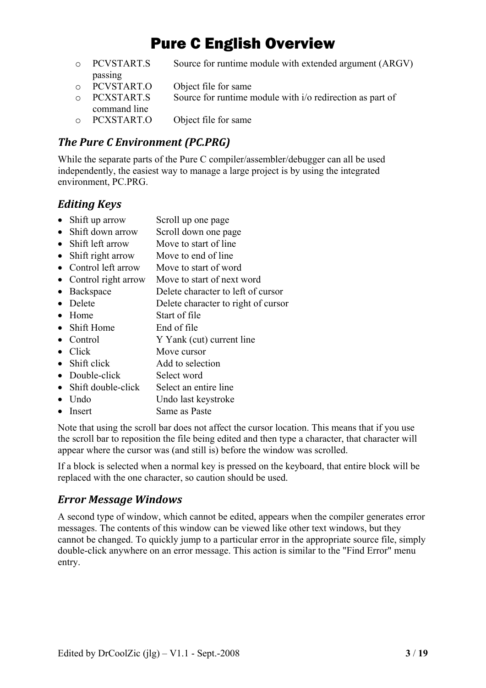- <span id="page-2-0"></span>o PCVSTART.S Source for runtime module with extended argument (ARGV) passing o PCVSTART.O Object file for same
- $\circ$  PCXSTART.S Source for runtime module with i/o redirection as part of command line
- o PCXSTART.O Object file for same

### *The Pure C Environment (PC.PRG)*

While the separate parts of the Pure C compiler/assembler/debugger can all be used independently, the easiest way to manage a large project is by using the integrated environment, PC.PRG.

### *Editing Keys*

- Shift up arrow Scroll up one page
- Shift down arrow Scroll down one page
- Shift left arrow Move to start of line
- Shift right arrow Move to end of line
- Control left arrow Move to start of word
- Control right arrow Move to start of next word
- Backspace Delete character to left of cursor
- Delete Delete character to right of cursor
- Home Start of file
- Shift Home End of file
- Control Y Yank (cut) current line
- Click Move cursor
- Shift click Add to selection
- Double-click Select word
- Shift double-click Select an entire line
- Undo Undo Undo last keystroke
- Insert Same as Paste

Note that using the scroll bar does not affect the cursor location. This means that if you use the scroll bar to reposition the file being edited and then type a character, that character will appear where the cursor was (and still is) before the window was scrolled.

If a block is selected when a normal key is pressed on the keyboard, that entire block will be replaced with the one character, so caution should be used.

#### *Error Message Windows*

A second type of window, which cannot be edited, appears when the compiler generates error messages. The contents of this window can be viewed like other text windows, but they cannot be changed. To quickly jump to a particular error in the appropriate source file, simply double-click anywhere on an error message. This action is similar to the "Find Error" menu entry.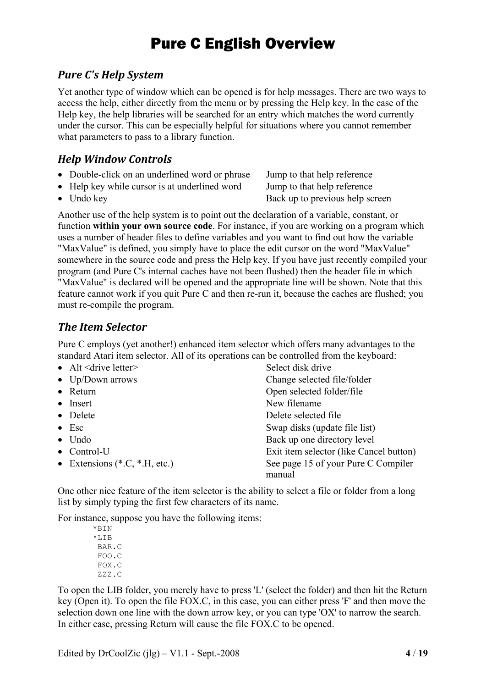### <span id="page-3-0"></span>*Pure C's Help System*

Yet another type of window which can be opened is for help messages. There are two ways to access the help, either directly from the menu or by pressing the Help key. In the case of the Help key, the help libraries will be searched for an entry which matches the word currently under the cursor. This can be especially helpful for situations where you cannot remember what parameters to pass to a library function.

### *Help Window Controls*

- Double-click on an underlined word or phrase Jump to that help reference
- Help key while cursor is at underlined word Jump to that help reference
- 

• Undo key **Back up to previous help screen** 

Another use of the help system is to point out the declaration of a variable, constant, or function **within your own source code**. For instance, if you are working on a program which uses a number of header files to define variables and you want to find out how the variable "MaxValue" is defined, you simply have to place the edit cursor on the word "MaxValue" somewhere in the source code and press the Help key. If you have just recently compiled your program (and Pure C's internal caches have not been flushed) then the header file in which "MaxValue" is declared will be opened and the appropriate line will be shown. Note that this feature cannot work if you quit Pure C and then re-run it, because the caches are flushed; you must re-compile the program.

### *The Item Selector*

Pure C employs (yet another!) enhanced item selector which offers many advantages to the standard Atari item selector. All of its operations can be controlled from the keyboard:

| • Alt $\leq$ drive letter $\geq$ | Select disk drive                             |
|----------------------------------|-----------------------------------------------|
| • $Up/Down$ arrows               | Change selected file/folder                   |
| • Return                         | Open selected folder/file                     |
| $\bullet$ Insert                 | New filename                                  |
| • Delete                         | Delete selected file                          |
| $\bullet$ Esc                    | Swap disks (update file list)                 |
| $\bullet$ Undo                   | Back up one directory level                   |
| $\bullet$ Control-U              | Exit item selector (like Cancel button)       |
| • Extensions $(*.C, *.H. etc.)$  | See page 15 of your Pure C Compiler<br>manual |

One other nice feature of the item selector is the ability to select a file or folder from a long list by simply typing the first few characters of its name.

For instance, suppose you have the following items:

\*BIN  $*$ LIB BAR.C FOO.C FOX.C ZZZ.C

To open the LIB folder, you merely have to press 'L' (select the folder) and then hit the Return key (Open it). To open the file FOX.C, in this case, you can either press 'F' and then move the selection down one line with the down arrow key, or you can type 'OX' to narrow the search. In either case, pressing Return will cause the file FOX.C to be opened.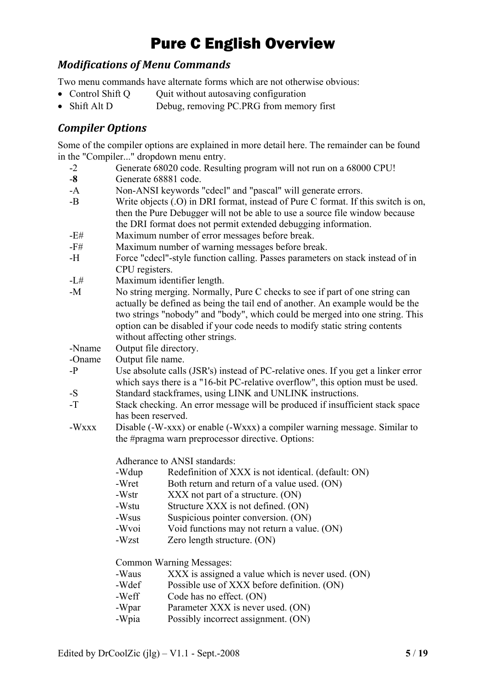### <span id="page-4-0"></span>*Modifications of Menu Commands*

Two menu commands have alternate forms which are not otherwise obvious:

- Control Shift Q Quit without autosaving configuration
- Shift Alt D Debug, removing PC.PRG from memory first

### *Compiler Options*

Some of the compiler options are explained in more detail here. The remainder can be found in the "Compiler..." dropdown menu entry.

- -2 Generate 68020 code. Resulting program will not run on a 68000 CPU!
- -**8** Generate 68881 code.
- -A Non-ANSI keywords "cdecl" and "pascal" will generate errors.
- -B Write objects (.O) in DRI format, instead of Pure C format. If this switch is on, then the Pure Debugger will not be able to use a source file window because the DRI format does not permit extended debugging information.
- -E# Maximum number of error messages before break.
- -F# Maximum number of warning messages before break.
- -H Force "cdecl"-style function calling. Passes parameters on stack instead of in CPU registers.
- -L# Maximum identifier length.
- -M No string merging. Normally, Pure C checks to see if part of one string can actually be defined as being the tail end of another. An example would be the two strings "nobody" and "body", which could be merged into one string. This option can be disabled if your code needs to modify static string contents without affecting other strings.
- -Nname Output file directory.
- -Oname Output file name.
- -P Use absolute calls (JSR's) instead of PC-relative ones. If you get a linker error which says there is a "16-bit PC-relative overflow", this option must be used.
- -S Standard stackframes, using LINK and UNLINK instructions.
- -T Stack checking. An error message will be produced if insufficient stack space has been reserved.
- -Wxxx Disable (-W-xxx) or enable (-Wxxx) a compiler warning message. Similar to the #pragma warn preprocessor directive. Options:

Adherance to ANSI standards:

- -Wdup Redefinition of XXX is not identical. (default: ON)
- -Wret Both return and return of a value used. (ON)
- -Wstr XXX not part of a structure. (ON)
- -Wstu Structure XXX is not defined. (ON)
- -Wsus Suspicious pointer conversion. (ON)
- -Wvoi Void functions may not return a value. (ON)
- -Wzst Zero length structure. (ON)

Common Warning Messages:

- -Waus XXX is assigned a value which is never used. (ON)
- -Wdef Possible use of XXX before definition. (ON)
- -Weff Code has no effect. (ON)
- -Wpar Parameter XXX is never used. (ON)
- -Wpia Possibly incorrect assignment. (ON)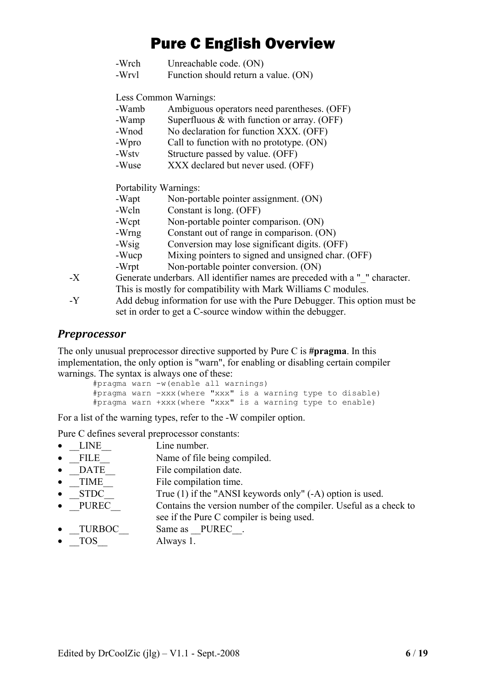- <span id="page-5-0"></span>-Wrch Unreachable code. (ON)
- -Wrvl Function should return a value. (ON)

Less Common Warnings:

- -Wamb Ambiguous operators need parentheses. (OFF)
- -Wamp Superfluous  $&$  with function or array. (OFF)
- -Wnod No declaration for function XXX. (OFF)
- -Wpro Call to function with no prototype. (ON)
- -Wstv Structure passed by value. (OFF)
- -Wuse XXX declared but never used. (OFF)

Portability Warnings:

|    | -Wapt | Non-portable pointer assignment. (ON)                                                                                                                                                                                         |
|----|-------|-------------------------------------------------------------------------------------------------------------------------------------------------------------------------------------------------------------------------------|
|    | -Wcln | Constant is long. (OFF)                                                                                                                                                                                                       |
|    | -Wcpt | Non-portable pointer comparison. (ON)                                                                                                                                                                                         |
|    | -Wrng | Constant out of range in comparison. (ON)                                                                                                                                                                                     |
|    | -Wsig | Conversion may lose significant digits. (OFF)                                                                                                                                                                                 |
|    | -Wucp | Mixing pointers to signed and unsigned char. (OFF)                                                                                                                                                                            |
|    | -Wrpt | Non-portable pointer conversion. (ON)                                                                                                                                                                                         |
| -X |       | Generate underbars. All identifier names are preceded with a " " character.                                                                                                                                                   |
|    |       | . The state of the state of the state of the state of the state of the state of the state of the state of the state of the state of the state of the state of the state of the state of the state of the state of the state o |

This is mostly for compatibility with Mark Williams C modules. -Y Add debug information for use with the Pure Debugger. This option must be set in order to get a C-source window within the debugger.

#### *Preprocessor*

The only unusual preprocessor directive supported by Pure C is **#pragma**. In this implementation, the only option is "warn", for enabling or disabling certain compiler warnings. The syntax is always one of these:

```
#pragma warn -w(enable all warnings) 
#pragma warn -xxx(where "xxx" is a warning type to disable) 
#pragma warn +xxx(where "xxx" is a warning type to enable)
```
For a list of the warning types, refer to the -W compiler option.

Pure C defines several preprocessor constants:

- LINE Line number.
- FILE Name of file being compiled.
- DATE File compilation date.
- TIME File compilation time.
- STDC True (1) if the "ANSI keywords only" (-A) option is used.
- PUREC Contains the version number of the compiler. Useful as a check to see if the Pure C compiler is being used.
- TURBOC Same as \_\_PUREC\_\_.
- TOS Always 1.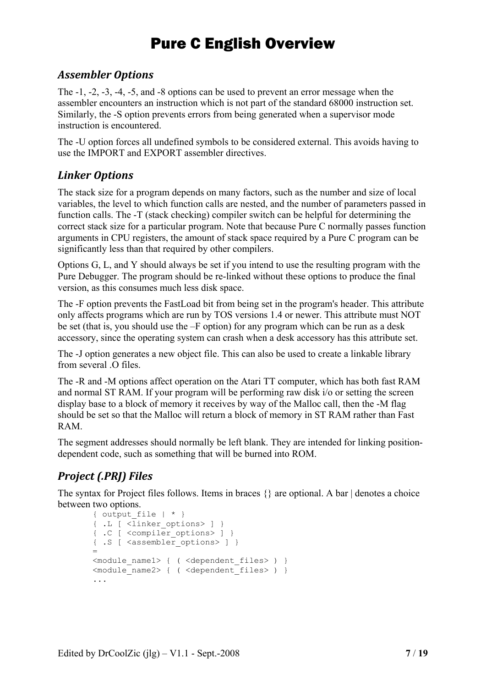### <span id="page-6-0"></span>*Assembler Options*

The -1, -2, -3, -4, -5, and -8 options can be used to prevent an error message when the assembler encounters an instruction which is not part of the standard 68000 instruction set. Similarly, the -S option prevents errors from being generated when a supervisor mode instruction is encountered.

The -U option forces all undefined symbols to be considered external. This avoids having to use the IMPORT and EXPORT assembler directives.

### *Linker Options*

The stack size for a program depends on many factors, such as the number and size of local variables, the level to which function calls are nested, and the number of parameters passed in function calls. The -T (stack checking) compiler switch can be helpful for determining the correct stack size for a particular program. Note that because Pure C normally passes function arguments in CPU registers, the amount of stack space required by a Pure C program can be significantly less than that required by other compilers.

Options G, L, and Y should always be set if you intend to use the resulting program with the Pure Debugger. The program should be re-linked without these options to produce the final version, as this consumes much less disk space.

The -F option prevents the FastLoad bit from being set in the program's header. This attribute only affects programs which are run by TOS versions 1.4 or newer. This attribute must NOT be set (that is, you should use the –F option) for any program which can be run as a desk accessory, since the operating system can crash when a desk accessory has this attribute set.

The -J option generates a new object file. This can also be used to create a linkable library from several  $\Omega$  files.

The -R and -M options affect operation on the Atari TT computer, which has both fast RAM and normal ST RAM. If your program will be performing raw disk i/o or setting the screen display base to a block of memory it receives by way of the Malloc call, then the -M flag should be set so that the Malloc will return a block of memory in ST RAM rather than Fast RAM.

The segment addresses should normally be left blank. They are intended for linking positiondependent code, such as something that will be burned into ROM.

### *Project (.PRJ) Files*

The syntax for Project files follows. Items in braces {} are optional. A bar | denotes a choice between two options.

```
{ output file | * \}{ .L [ <linker_options> ] } 
{ .C [ <compiler_options> ] } 
{ .S [ <assembler_options> ] } 
= 
<module_name1> { ( <dependent_files> ) } 
<module_name2> { ( <dependent_files> ) } 
...
```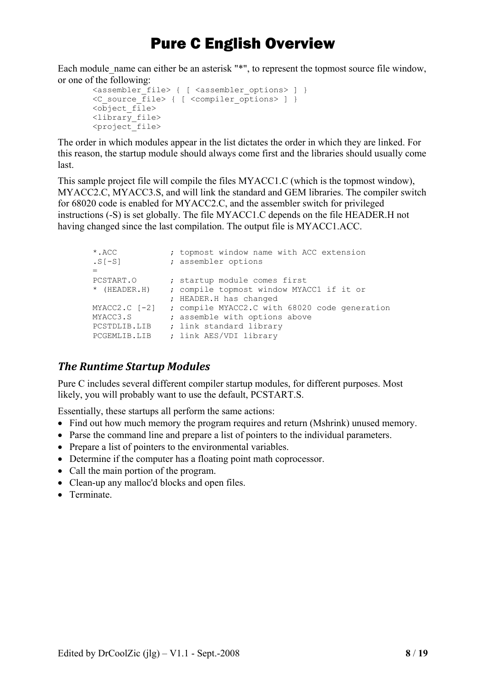<span id="page-7-0"></span>Each module name can either be an asterisk "\*", to represent the topmost source file window, or one of the following:

```
<assembler_file> { [ <assembler options> ] }
<C_source_file> { [ <compiler_options> ] } 
\overline{\text{cob}}iect file>
<library_file> 
<project_file>
```
The order in which modules appear in the list dictates the order in which they are linked. For this reason, the startup module should always come first and the libraries should usually come last.

This sample project file will compile the files MYACC1.C (which is the topmost window), MYACC2.C, MYACC3.S, and will link the standard and GEM libraries. The compiler switch for 68020 code is enabled for MYACC2.C, and the assembler switch for privileged instructions (-S) is set globally. The file MYACC1.C depends on the file HEADER.H not having changed since the last compilation. The output file is MYACC1.ACC.

```
*.ACC ; topmost window name with ACC extension 
.S[-S] ; assembler options 
= 
PCSTART.O \qquad ; startup module comes first
* (HEADER.H) ; compile topmost window MYACC1 if it or 
               ; HEADER.H has changed 
MYACC2.C [-2] ; compile MYACC2.C with 68020 code generation 
MYACC3.S ; assemble with options above
PCSTDLIB.LIB ; link standard library
PCGEMLIB.LIB ; link AES/VDI library
```
### *The Runtime Startup Modules*

Pure C includes several different compiler startup modules, for different purposes. Most likely, you will probably want to use the default, PCSTART.S.

Essentially, these startups all perform the same actions:

- Find out how much memory the program requires and return (Mshrink) unused memory.
- Parse the command line and prepare a list of pointers to the individual parameters.
- Prepare a list of pointers to the environmental variables.
- Determine if the computer has a floating point math coprocessor.
- Call the main portion of the program.
- Clean-up any malloc'd blocks and open files.
- Terminate.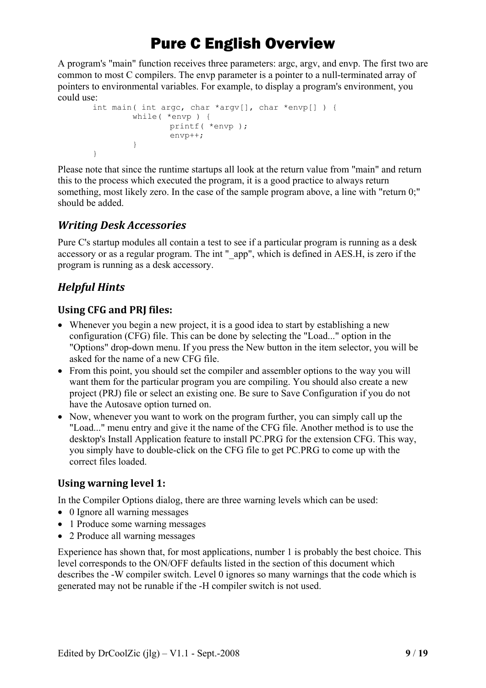<span id="page-8-0"></span>A program's "main" function receives three parameters: argc, argv, and envp. The first two are common to most C compilers. The envp parameter is a pointer to a null-terminated array of pointers to environmental variables. For example, to display a program's environment, you could use:

```
int main( int argc, char *argv[], char *envp[] ) { 
         while( *envp ) { 
                  printf( *envp ); 
                  envp++; 
          } 
}
```
Please note that since the runtime startups all look at the return value from "main" and return this to the process which executed the program, it is a good practice to always return something, most likely zero. In the case of the sample program above, a line with "return 0;" should be added.

### *Writing Desk Accessories*

Pure C's startup modules all contain a test to see if a particular program is running as a desk accessory or as a regular program. The int " app", which is defined in AES.H, is zero if the program is running as a desk accessory.

### *Helpful Hints*

#### **Using CFG and PRJ files:**

- Whenever you begin a new project, it is a good idea to start by establishing a new configuration (CFG) file. This can be done by selecting the "Load..." option in the "Options" drop-down menu. If you press the New button in the item selector, you will be asked for the name of a new CFG file.
- From this point, you should set the compiler and assembler options to the way you will want them for the particular program you are compiling. You should also create a new project (PRJ) file or select an existing one. Be sure to Save Configuration if you do not have the Autosave option turned on.
- Now, whenever you want to work on the program further, you can simply call up the "Load..." menu entry and give it the name of the CFG file. Another method is to use the desktop's Install Application feature to install PC.PRG for the extension CFG. This way, you simply have to double-click on the CFG file to get PC.PRG to come up with the correct files loaded.

### **Using warning level 1:**

In the Compiler Options dialog, there are three warning levels which can be used:

- 0 Ignore all warning messages
- 1 Produce some warning messages
- 2 Produce all warning messages

Experience has shown that, for most applications, number 1 is probably the best choice. This level corresponds to the ON/OFF defaults listed in the section of this document which describes the -W compiler switch. Level 0 ignores so many warnings that the code which is generated may not be runable if the -H compiler switch is not used.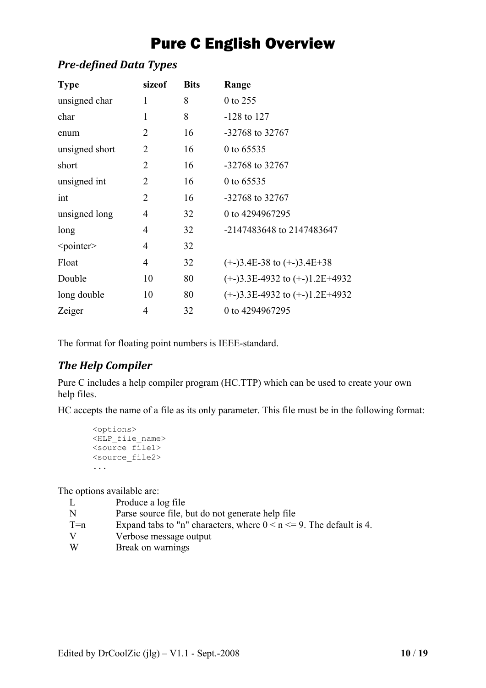### <span id="page-9-0"></span>*Predefined Data Types*

| <b>Type</b>         | sizeof         | <b>Bits</b> | Range                            |
|---------------------|----------------|-------------|----------------------------------|
| unsigned char       | 1              | 8           | 0 to 255                         |
| char                | 1              | 8           | $-128$ to 127                    |
| enum                | 2              | 16          | $-32768$ to 32767                |
| unsigned short      | 2              | 16          | 0 to 65535                       |
| short               | $\overline{2}$ | 16          | $-32768$ to 32767                |
| unsigned int        | 2              | 16          | 0 to 65535                       |
| int                 | 2              | 16          | $-32768$ to 32767                |
| unsigned long       | 4              | 32          | 0 to 4294967295                  |
| long                | 4              | 32          | -2147483648 to 2147483647        |
| <pointer></pointer> | $\overline{4}$ | 32          |                                  |
| Float               | 4              | 32          | $(+)3.4E-38$ to $(+)3.4E+38$     |
| Double              | 10             | 80          | $(+)3.3E-4932$ to $(+)1.2E+4932$ |
| long double         | 10             | 80          | $(+)3.3E-4932$ to $(+)1.2E+4932$ |
| Zeiger              | 4              | 32          | 0 to 4294967295                  |

The format for floating point numbers is IEEE-standard.

### *The Help Compiler*

Pure C includes a help compiler program (HC.TTP) which can be used to create your own help files.

HC accepts the name of a file as its only parameter. This file must be in the following format:

```
<options> 
<HLP_file_name> 
<source_file1> 
<source_file2> 
...
```
The options available are:

| L     | Produce a log file                                                       |
|-------|--------------------------------------------------------------------------|
| N     | Parse source file, but do not generate help file                         |
| $T=n$ | Expand tabs to "n" characters, where $0 \le n \le 9$ . The default is 4. |
| V     | Verbose message output                                                   |
| W     | Break on warnings                                                        |
|       |                                                                          |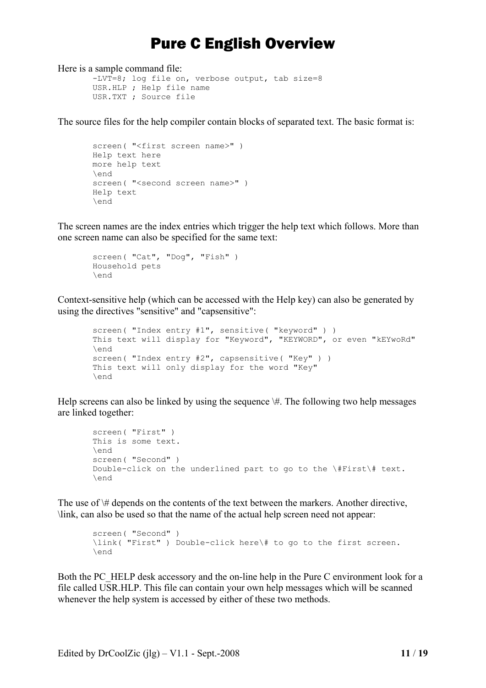Here is a sample command file:

```
-LVT=8; log file on, verbose output, tab size=8 
USR.HLP ; Help file name
USR.TXT ; Source file
```
The source files for the help compiler contain blocks of separated text. The basic format is:

```
screen( "<first screen name>" )
Help text here 
more help text 
\end 
screen( "<second screen name>" )
Help text 
\end
```
The screen names are the index entries which trigger the help text which follows. More than one screen name can also be specified for the same text:

```
screen( "Cat", "Dog", "Fish" ) 
Household pets 
\end
```
Context-sensitive help (which can be accessed with the Help key) can also be generated by using the directives "sensitive" and "capsensitive":

```
screen( "Index entry #1", sensitive( "keyword" ) ) 
This text will display for "Keyword", "KEYWORD", or even "kEYwoRd" 
\end 
screen( "Index entry #2", capsensitive( "Key" ) )
This text will only display for the word "Key" 
\end
```
Help screens can also be linked by using the sequence  $\#$ . The following two help messages are linked together:

```
screen( "First" ) 
This is some text. 
\end 
screen( "Second" ) 
Double-click on the underlined part to go to the \#First\# text. 
\end
```
The use of  $\#$  depends on the contents of the text between the markers. Another directive, \link, can also be used so that the name of the actual help screen need not appear:

```
screen( "Second" ) 
\link( "First" ) Double-click here\# to go to the first screen. 
\end
```
Both the PC\_HELP desk accessory and the on-line help in the Pure C environment look for a file called USR.HLP. This file can contain your own help messages which will be scanned whenever the help system is accessed by either of these two methods.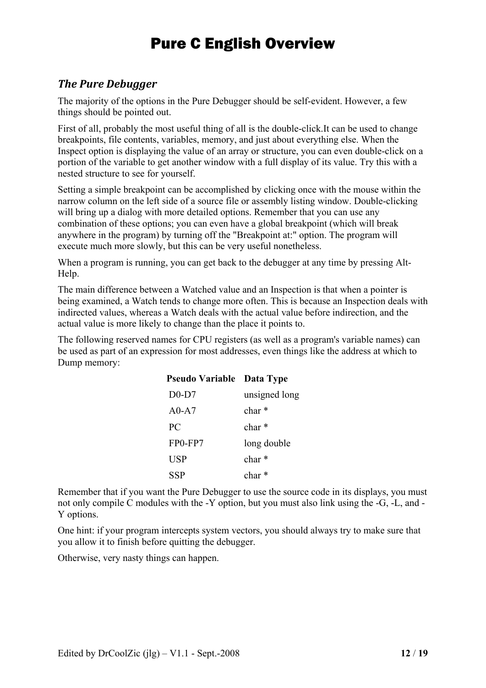### <span id="page-11-0"></span>*The Pure Debugger*

The majority of the options in the Pure Debugger should be self-evident. However, a few things should be pointed out.

First of all, probably the most useful thing of all is the double-click.It can be used to change breakpoints, file contents, variables, memory, and just about everything else. When the Inspect option is displaying the value of an array or structure, you can even double-click on a portion of the variable to get another window with a full display of its value. Try this with a nested structure to see for yourself.

Setting a simple breakpoint can be accomplished by clicking once with the mouse within the narrow column on the left side of a source file or assembly listing window. Double-clicking will bring up a dialog with more detailed options. Remember that you can use any combination of these options; you can even have a global breakpoint (which will break anywhere in the program) by turning off the "Breakpoint at:" option. The program will execute much more slowly, but this can be very useful nonetheless.

When a program is running, you can get back to the debugger at any time by pressing Alt-Help.

The main difference between a Watched value and an Inspection is that when a pointer is being examined, a Watch tends to change more often. This is because an Inspection deals with indirected values, whereas a Watch deals with the actual value before indirection, and the actual value is more likely to change than the place it points to.

The following reserved names for CPU registers (as well as a program's variable names) can be used as part of an expression for most addresses, even things like the address at which to Dump memory:

| <b>Pseudo Variable Data Type</b> |                   |
|----------------------------------|-------------------|
| $D0-D7$                          | unsigned long     |
| $A0-A7$                          | char *            |
| PC                               | $char*$           |
| FP0-FP7                          | long double       |
| <b>USP</b>                       | char <sup>*</sup> |
| SSP                              | $char*$           |

Remember that if you want the Pure Debugger to use the source code in its displays, you must not only compile C modules with the -Y option, but you must also link using the -G, -L, and - Y options.

One hint: if your program intercepts system vectors, you should always try to make sure that you allow it to finish before quitting the debugger.

Otherwise, very nasty things can happen.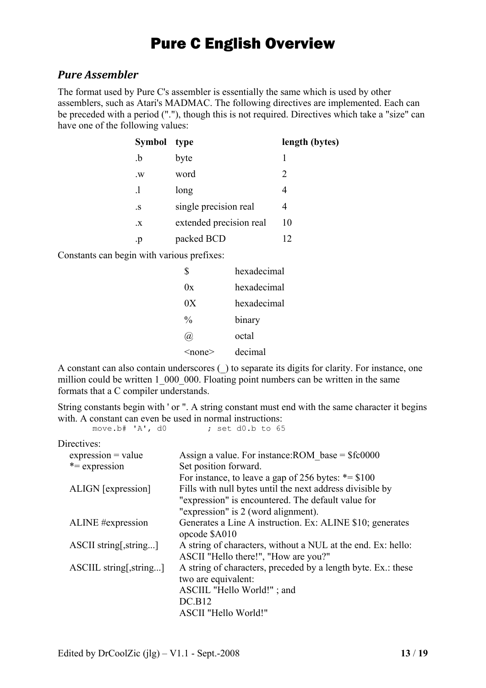### <span id="page-12-0"></span>*Pure Assembler*

The format used by Pure C's assembler is essentially the same which is used by other assemblers, such as Atari's MADMAC. The following directives are implemented. Each can be preceded with a period ("."), though this is not required. Directives which take a "size" can have one of the following values:

| Symbol type       |                         | length (bytes)        |
|-------------------|-------------------------|-----------------------|
| $\cdot b$         | byte                    |                       |
| $W_{\mathcal{A}}$ | word                    | $\mathcal{D}_{\cdot}$ |
| .1                | long                    |                       |
| $\cdot$ S         | single precision real   |                       |
| $\cdot X$         | extended precision real | 10                    |
| .p                | packed BCD              | 7                     |

Constants can begin with various prefixes:

| \$                         | hexadecimal |
|----------------------------|-------------|
| 0x                         | hexadecimal |
| 0X                         | hexadecimal |
| $\frac{0}{0}$              | binary      |
| $\left(\widehat{a}\right)$ | octal       |
| $<$ none $>$               | decimal     |

A constant can also contain underscores (\_) to separate its digits for clarity. For instance, one million could be written 1 000 000. Floating point numbers can be written in the same formats that a C compiler understands.

String constants begin with ' or ". A string constant must end with the same character it begins with. A constant can even be used in normal instructions:<br>move.b# $'A', d0$  ; set d0.b to 65

 $:$  set d0.b to 65

Directives<sup>.</sup>

| TUULIVUS.               |                                                               |
|-------------------------|---------------------------------------------------------------|
| $expression = value$    | Assign a value. For instance: ROM base = $$f$ c0000           |
| $*$ = expression        | Set position forward.                                         |
|                         | For instance, to leave a gap of 256 bytes: $* = $100$         |
| ALIGN [expression]      | Fills with null bytes until the next address divisible by     |
|                         | "expression" is encountered. The default value for            |
|                         | "expression" is 2 (word alignment).                           |
| ALINE #expression       | Generates a Line A instruction. Ex: ALINE \$10; generates     |
|                         | opcode \$A010                                                 |
| ASCII string, string    | A string of characters, without a NUL at the end. Ex: hello:  |
|                         | ASCII "Hello there!", "How are you?"                          |
| ASCIIL string[, string] | A string of characters, preceded by a length byte. Ex.: these |
|                         | two are equivalent:                                           |
|                         | ASCIIL "Hello World!"; and                                    |
|                         | DC.B12                                                        |
|                         | ASCII "Hello World!"                                          |
|                         |                                                               |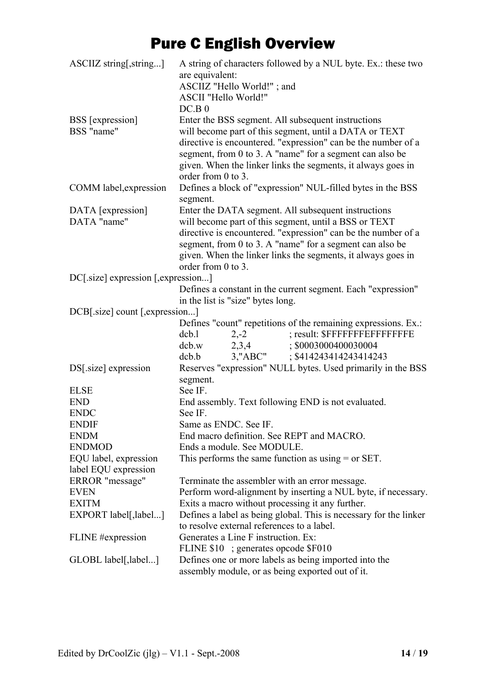| ASCIIZ string[, string]             | A string of characters followed by a NUL byte. Ex.: these two<br>are equivalent: |  |  |  |
|-------------------------------------|----------------------------------------------------------------------------------|--|--|--|
|                                     | ASCIIZ "Hello World!"; and<br>ASCII "Hello World!"                               |  |  |  |
|                                     |                                                                                  |  |  |  |
|                                     | DC.B.0                                                                           |  |  |  |
| <b>BSS</b> [expression]             | Enter the BSS segment. All subsequent instructions                               |  |  |  |
| BSS "name"                          | will become part of this segment, until a DATA or TEXT                           |  |  |  |
|                                     | directive is encountered. "expression" can be the number of a                    |  |  |  |
|                                     | segment, from 0 to 3. A "name" for a segment can also be                         |  |  |  |
|                                     | given. When the linker links the segments, it always goes in                     |  |  |  |
|                                     | order from 0 to 3.                                                               |  |  |  |
| COMM label, expression              | Defines a block of "expression" NUL-filled bytes in the BSS                      |  |  |  |
|                                     | segment.                                                                         |  |  |  |
| DATA [expression]                   | Enter the DATA segment. All subsequent instructions                              |  |  |  |
| DATA "name"                         | will become part of this segment, until a BSS or TEXT                            |  |  |  |
|                                     | directive is encountered. "expression" can be the number of a                    |  |  |  |
|                                     | segment, from 0 to 3. A "name" for a segment can also be                         |  |  |  |
|                                     | given. When the linker links the segments, it always goes in                     |  |  |  |
|                                     | order from $0$ to $3$ .                                                          |  |  |  |
| DC[.size] expression [, expression] |                                                                                  |  |  |  |
|                                     | Defines a constant in the current segment. Each "expression"                     |  |  |  |
|                                     | in the list is "size" bytes long.                                                |  |  |  |
| DCB[.size] count [, expression]     |                                                                                  |  |  |  |
|                                     | Defines "count" repetitions of the remaining expressions. Ex.:                   |  |  |  |
|                                     | ; result: \$FFFFFFFEFFFFFFFF<br>dcb.1<br>$2,-2$                                  |  |  |  |
|                                     | ; \$0003000400030004<br>$dcb.w$ 2,3,4                                            |  |  |  |
|                                     | 3, "ABC"<br>; \$414243414243414243<br>dcb.b                                      |  |  |  |
| DS[.size] expression                | Reserves "expression" NULL bytes. Used primarily in the BSS                      |  |  |  |
|                                     | segment.                                                                         |  |  |  |
| <b>ELSE</b>                         | See IF.                                                                          |  |  |  |
| <b>END</b>                          | End assembly. Text following END is not evaluated.                               |  |  |  |
| <b>ENDC</b>                         | See IF.                                                                          |  |  |  |
| <b>ENDIF</b>                        | Same as ENDC. See IF.                                                            |  |  |  |
| <b>ENDM</b>                         | End macro definition. See REPT and MACRO.                                        |  |  |  |
| <b>ENDMOD</b>                       | Ends a module. See MODULE.                                                       |  |  |  |
| EQU label, expression               | This performs the same function as using $=$ or SET.                             |  |  |  |
| label EQU expression                |                                                                                  |  |  |  |
| ERROR "message"                     | Terminate the assembler with an error message.                                   |  |  |  |
| <b>EVEN</b>                         | Perform word-alignment by inserting a NUL byte, if necessary.                    |  |  |  |
| <b>EXITM</b>                        | Exits a macro without processing it any further.                                 |  |  |  |
| EXPORT label[,label]                | Defines a label as being global. This is necessary for the linker                |  |  |  |
|                                     | to resolve external references to a label.                                       |  |  |  |
| FLINE #expression                   | Generates a Line F instruction. Ex:                                              |  |  |  |
|                                     | FLINE \$10 ; generates opcode \$F010                                             |  |  |  |
| GLOBL label[,label]                 | Defines one or more labels as being imported into the                            |  |  |  |
|                                     | assembly module, or as being exported out of it.                                 |  |  |  |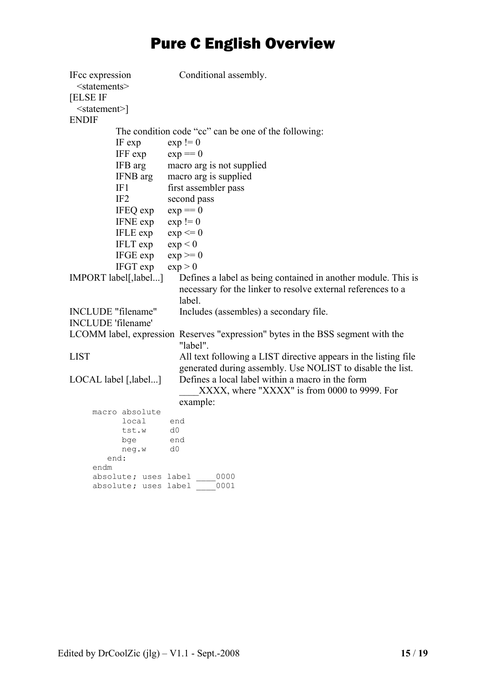| IFcc expression<br>$<$ statements $>$<br><b>[ELSE IF</b> |                      | Conditional assembly.                                                                                                                   |
|----------------------------------------------------------|----------------------|-----------------------------------------------------------------------------------------------------------------------------------------|
|                                                          |                      |                                                                                                                                         |
| $\leq$ statement $\geq$                                  |                      |                                                                                                                                         |
| <b>ENDIF</b>                                             |                      |                                                                                                                                         |
|                                                          |                      | The condition code "cc" can be one of the following:                                                                                    |
|                                                          | IF exp               | $exp := 0$                                                                                                                              |
|                                                          | IFF exp              | $exp == 0$                                                                                                                              |
|                                                          | IFB arg              | macro arg is not supplied                                                                                                               |
|                                                          | IFNB arg             | macro arg is supplied                                                                                                                   |
|                                                          | IF1                  | first assembler pass                                                                                                                    |
|                                                          | IF <sub>2</sub>      | second pass                                                                                                                             |
|                                                          | IFEQ exp             | $exp == 0$                                                                                                                              |
|                                                          | IFNE exp             | $exp := 0$                                                                                                                              |
|                                                          | IFLE exp             | $exp \leq 0$                                                                                                                            |
|                                                          | IFLT exp             | exp < 0                                                                                                                                 |
|                                                          | IFGE exp             | $exp \geq 0$                                                                                                                            |
|                                                          | IFGT exp             | exp > 0                                                                                                                                 |
| IMPORT label[, label]                                    |                      | Defines a label as being contained in another module. This is<br>necessary for the linker to resolve external references to a<br>label. |
| INCLUDE "filename"                                       |                      | Includes (assembles) a secondary file.                                                                                                  |
| <b>INCLUDE</b> 'filename'                                |                      |                                                                                                                                         |
|                                                          |                      |                                                                                                                                         |
|                                                          |                      | LCOMM label, expression Reserves "expression" bytes in the BSS segment with the<br>"label".                                             |
| <b>LIST</b>                                              |                      | All text following a LIST directive appears in the listing file                                                                         |
|                                                          |                      | generated during assembly. Use NOLIST to disable the list.                                                                              |
| LOCAL label [,label]                                     |                      | Defines a local label within a macro in the form                                                                                        |
|                                                          |                      | XXXX, where "XXXX" is from 0000 to 9999. For                                                                                            |
|                                                          |                      | example:                                                                                                                                |
|                                                          | macro absolute       |                                                                                                                                         |
|                                                          | local                | end                                                                                                                                     |
|                                                          | tst.w                | d0                                                                                                                                      |
|                                                          | bge                  | end                                                                                                                                     |
|                                                          | neg.w                | d0                                                                                                                                      |
| end:<br>endm                                             |                      |                                                                                                                                         |
|                                                          | absolute; uses label | 0000                                                                                                                                    |
|                                                          | absolute; uses label | 0001                                                                                                                                    |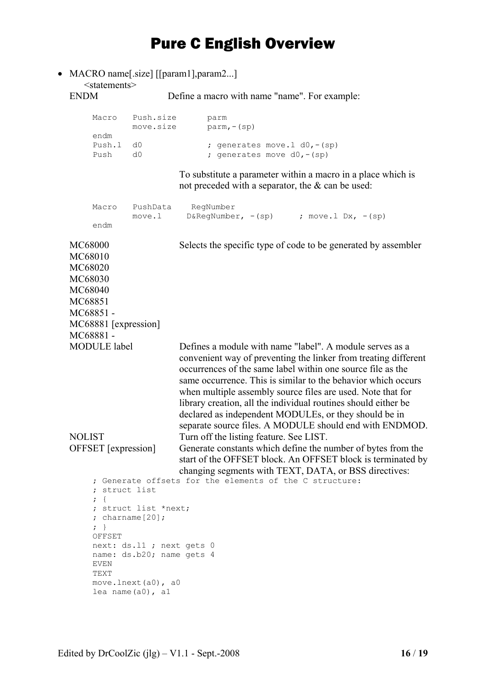• MACRO name[.size] [[param1],param2...] <statements><br>ENDM

Define a macro with name "name". For example:

| Macro     | Push.size<br>move.size | parm<br>$param, - (sp)$ |                                 |
|-----------|------------------------|-------------------------|---------------------------------|
| endm      |                        |                         |                                 |
| Push.1 d0 |                        |                         | ; generates move.1 $d0, - (sp)$ |
| Push      |                        |                         | ; generates move $d0, - (sp)$   |

To substitute a parameter within a macro in a place which is not preceded with a separator, the  $\&$  can be used:

| Macro                                                                                                                                                                                                                                                    | move.l | PushData RegNumber<br>$D\&RegNumber, -(sp)$ ; move.1 Dx, -(sp)                                                                                                                                                                                                                                                                                                                                                                                                                                                   |  |
|----------------------------------------------------------------------------------------------------------------------------------------------------------------------------------------------------------------------------------------------------------|--------|------------------------------------------------------------------------------------------------------------------------------------------------------------------------------------------------------------------------------------------------------------------------------------------------------------------------------------------------------------------------------------------------------------------------------------------------------------------------------------------------------------------|--|
| endm                                                                                                                                                                                                                                                     |        |                                                                                                                                                                                                                                                                                                                                                                                                                                                                                                                  |  |
| MC68000<br>MC68010<br>MC68020<br>MC68030<br>MC68040<br>MC68851<br>MC68851-<br>MC68881 [expression]<br>MC68881-                                                                                                                                           |        | Selects the specific type of code to be generated by assembler                                                                                                                                                                                                                                                                                                                                                                                                                                                   |  |
| <b>MODULE</b> label                                                                                                                                                                                                                                      |        | Defines a module with name "label". A module serves as a<br>convenient way of preventing the linker from treating different<br>occurrences of the same label within one source file as the<br>same occurrence. This is similar to the behavior which occurs<br>when multiple assembly source files are used. Note that for<br>library creation, all the individual routines should either be<br>declared as independent MODULEs, or they should be in<br>separate source files. A MODULE should end with ENDMOD. |  |
| <b>NOLIST</b><br>OFFSET [expression]                                                                                                                                                                                                                     |        | Turn off the listing feature. See LIST.<br>Generate constants which define the number of bytes from the<br>start of the OFFSET block. An OFFSET block is terminated by<br>changing segments with TEXT, DATA, or BSS directives:                                                                                                                                                                                                                                                                                  |  |
| ; Generate offsets for the elements of the C structure:<br>; struct list<br>$\cdot$ {<br>; struct list *next;<br>; charname $[20]$ ;<br>$\Box$<br>OFFSET<br>next: ds.11 ; next gets 0<br>name: ds.b20; name gets 4<br>EVEN<br>TEXT<br>move.lnext(a0), a0 |        |                                                                                                                                                                                                                                                                                                                                                                                                                                                                                                                  |  |

lea name(a0), a1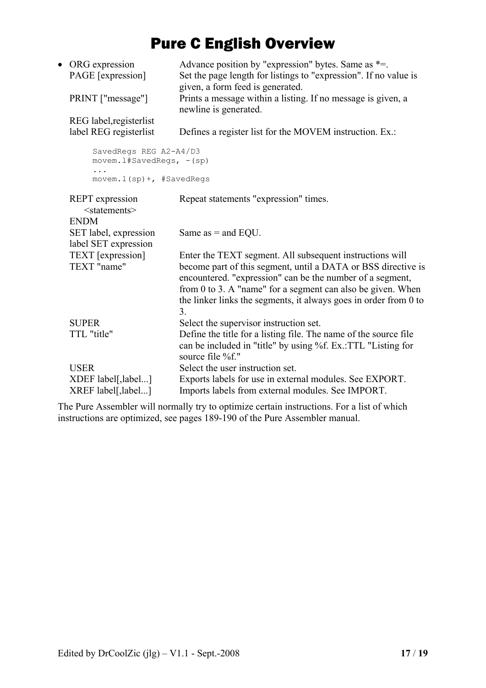|                                                                                    | • ORG expression<br>PAGE [expression]<br>PRINT ["message"]          | Advance position by "expression" bytes. Same as *=.<br>Set the page length for listings to "expression". If no value is<br>given, a form feed is generated.<br>Prints a message within a listing. If no message is given, a                                                                                                     |
|------------------------------------------------------------------------------------|---------------------------------------------------------------------|---------------------------------------------------------------------------------------------------------------------------------------------------------------------------------------------------------------------------------------------------------------------------------------------------------------------------------|
|                                                                                    |                                                                     | newline is generated.                                                                                                                                                                                                                                                                                                           |
|                                                                                    | REG label, registerlist<br>label REG registerlist                   | Defines a register list for the MOVEM instruction. Ex.:                                                                                                                                                                                                                                                                         |
| SavedRegs REG A2-A4/D3<br>movem.1#SavedRegs, -(sp)<br>$movem.1(sp) +$ , #SavedRegs |                                                                     |                                                                                                                                                                                                                                                                                                                                 |
|                                                                                    |                                                                     |                                                                                                                                                                                                                                                                                                                                 |
|                                                                                    | <b>REPT</b> expression<br><statements><br/><b>ENDM</b></statements> | Repeat statements "expression" times.                                                                                                                                                                                                                                                                                           |
|                                                                                    | SET label, expression<br>label SET expression                       | Same as $=$ and EQU.                                                                                                                                                                                                                                                                                                            |
|                                                                                    | TEXT [expression]<br>TEXT "name"                                    | Enter the TEXT segment. All subsequent instructions will<br>become part of this segment, until a DATA or BSS directive is<br>encountered. "expression" can be the number of a segment,<br>from 0 to 3. A "name" for a segment can also be given. When<br>the linker links the segments, it always goes in order from 0 to<br>3. |
|                                                                                    | <b>SUPER</b><br>TTL "title"                                         | Select the supervisor instruction set.<br>Define the title for a listing file. The name of the source file<br>can be included in "title" by using %f. Ex.:TTL "Listing for<br>source file %f."                                                                                                                                  |
|                                                                                    | <b>USER</b>                                                         | Select the user instruction set.                                                                                                                                                                                                                                                                                                |
|                                                                                    | XDEF label[,label]<br>XREF label[,label]                            | Exports labels for use in external modules. See EXPORT.<br>Imports labels from external modules. See IMPORT.                                                                                                                                                                                                                    |

The Pure Assembler will normally try to optimize certain instructions. For a list of which instructions are optimized, see pages 189-190 of the Pure Assembler manual.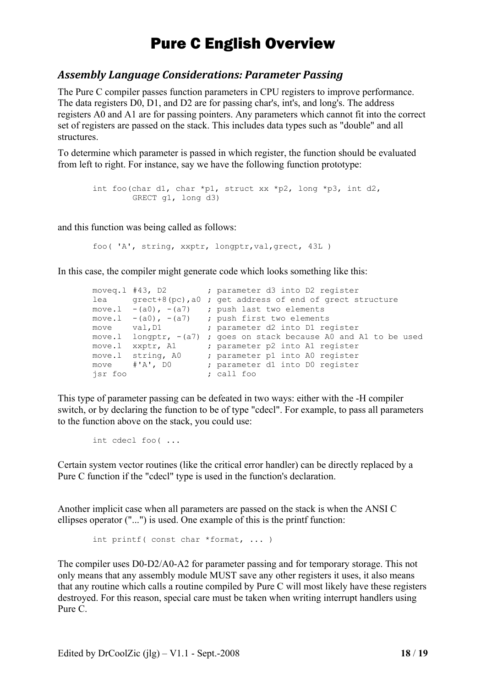#### <span id="page-17-0"></span>*Assembly Language Considerations: Parameter Passing*

The Pure C compiler passes function parameters in CPU registers to improve performance. The data registers D0, D1, and D2 are for passing char's, int's, and long's. The address registers A0 and A1 are for passing pointers. Any parameters which cannot fit into the correct set of registers are passed on the stack. This includes data types such as "double" and all structures.

To determine which parameter is passed in which register, the function should be evaluated from left to right. For instance, say we have the following function prototype:

```
int foo(char d1, char *p1, struct xx *p2, long *p3, int d2, 
         GRECT g1, long d3)
```
and this function was being called as follows:

foo( 'A', string, xxptr, longptr,val,grect, 43L )

In this case, the compiler might generate code which looks something like this:

```
moveq.1 #43, D2 ; parameter d3 into D2 register
lea grect+8(pc),a0 ; get address of end of grect structure 
move 1 - (a0), -(a7) ; push last two elements
move.1 -(a0), -(a7) ; push first two elements
move val, D1 ; parameter d2 into D1 register
move.l longptr, -(a7) ; goes on stack because A0 and A1 to be used 
move.1 xxptr, A1 ; parameter p2 into A1 register
move.l string, A0 ; parameter p1 into A0 register 
move #'A', D0 ; parameter d1 into D0 register 
jsr foo ; call foo
```
This type of parameter passing can be defeated in two ways: either with the -H compiler switch, or by declaring the function to be of type "cdecl". For example, to pass all parameters to the function above on the stack, you could use:

```
int cdecl foo( ...
```
Certain system vector routines (like the critical error handler) can be directly replaced by a Pure C function if the "cdecl" type is used in the function's declaration.

Another implicit case when all parameters are passed on the stack is when the ANSI C ellipses operator ("...") is used. One example of this is the printf function:

int printf( const char \*format, ... )

The compiler uses D0-D2/A0-A2 for parameter passing and for temporary storage. This not only means that any assembly module MUST save any other registers it uses, it also means that any routine which calls a routine compiled by Pure C will most likely have these registers destroyed. For this reason, special care must be taken when writing interrupt handlers using Pure C.